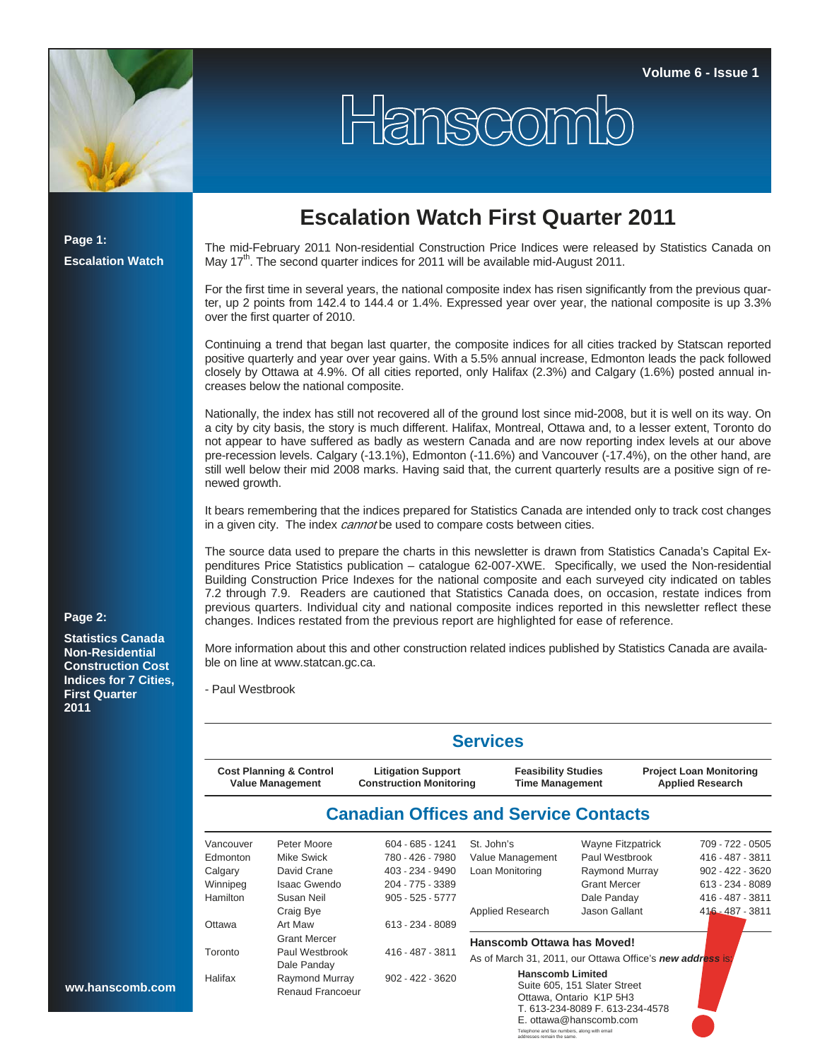

## Hanscomb

**Page 1: Escalation Watch** **Escalation Watch First Quarter 2011** 

The mid-February 2011 Non-residential Construction Price Indices were released by Statistics Canada on May 17<sup>th</sup>. The second quarter indices for 2011 will be available mid-August 2011.

For the first time in several years, the national composite index has risen significantly from the previous quarter, up 2 points from 142.4 to 144.4 or 1.4%. Expressed year over year, the national composite is up 3.3% over the first quarter of 2010.

Continuing a trend that began last quarter, the composite indices for all cities tracked by Statscan reported positive quarterly and year over year gains. With a 5.5% annual increase, Edmonton leads the pack followed closely by Ottawa at 4.9%. Of all cities reported, only Halifax (2.3%) and Calgary (1.6%) posted annual increases below the national composite.

Nationally, the index has still not recovered all of the ground lost since mid-2008, but it is well on its way. On a city by city basis, the story is much different. Halifax, Montreal, Ottawa and, to a lesser extent, Toronto do not appear to have suffered as badly as western Canada and are now reporting index levels at our above pre-recession levels. Calgary (-13.1%), Edmonton (-11.6%) and Vancouver (-17.4%), on the other hand, are still well below their mid 2008 marks. Having said that, the current quarterly results are a positive sign of renewed growth.

It bears remembering that the indices prepared for Statistics Canada are intended only to track cost changes in a given city. The index *cannot* be used to compare costs between cities.

The source data used to prepare the charts in this newsletter is drawn from Statistics Canada's Capital Expenditures Price Statistics publication – catalogue 62-007-XWE. Specifically, we used the Non-residential Building Construction Price Indexes for the national composite and each surveyed city indicated on tables 7.2 through 7.9. Readers are cautioned that Statistics Canada does, on occasion, restate indices from previous quarters. Individual city and national composite indices reported in this newsletter reflect these changes. Indices restated from the previous report are highlighted for ease of reference.

More information about this and other construction related indices published by Statistics Canada are available on line at www.statcan.gc.ca.

- Paul Westbrook

|                                                        |                         |                                                             | <b>Services</b>                                           |                               |                                                           |                    |
|--------------------------------------------------------|-------------------------|-------------------------------------------------------------|-----------------------------------------------------------|-------------------------------|-----------------------------------------------------------|--------------------|
| <b>Cost Planning &amp; Control</b><br>Value Management |                         | <b>Litigation Support</b><br><b>Construction Monitoring</b> | <b>Feasibility Studies</b><br><b>Time Management</b>      |                               | <b>Project Loan Monitoring</b><br><b>Applied Research</b> |                    |
|                                                        |                         | <b>Canadian Offices and Service Contacts</b>                |                                                           |                               |                                                           |                    |
| Vancouver                                              | Peter Moore             | 604 - 685 - 1241                                            | St. John's                                                | Wayne Fitzpatrick             |                                                           | 709 - 722 - 0505   |
| Edmonton                                               | <b>Mike Swick</b>       | 780 - 426 - 7980                                            | Value Management                                          | Paul Westbrook                |                                                           | 416 - 487 - 3811   |
| Calgary                                                | David Crane             | 403 - 234 - 9490                                            | Loan Monitoring                                           | Raymond Murray                |                                                           | $902 - 422 - 3620$ |
| Winnipeg                                               | <b>Isaac Gwendo</b>     | 204 - 775 - 3389                                            |                                                           | <b>Grant Mercer</b>           |                                                           | 613 - 234 - 8089   |
| Hamilton                                               | Susan Neil              | $905 - 525 - 5777$                                          |                                                           | Dale Panday                   |                                                           | 416 - 487 - 3811   |
|                                                        | Craig Bye               |                                                             | Applied Research                                          | Jason Gallant                 |                                                           | $416 - 487 - 3811$ |
| Ottawa                                                 | Art Maw                 | 613 - 234 - 8089                                            |                                                           |                               |                                                           |                    |
|                                                        | <b>Grant Mercer</b>     |                                                             | Hanscomb Ottawa has Moved!                                |                               |                                                           |                    |
| Toronto                                                | Paul Westbrook          | 416 - 487 - 3811                                            | As of March 31, 2011, our Ottawa Office's new address is: |                               |                                                           |                    |
|                                                        | Dale Panday             |                                                             |                                                           |                               |                                                           |                    |
| Halifax                                                | Raymond Murray          | 902 - 422 - 3620                                            | <b>Hanscomb Limited</b>                                   | Suite 605, 151 Slater Street  |                                                           |                    |
|                                                        | <b>Renaud Francoeur</b> |                                                             |                                                           | Ottawa, Ontario K1P 5H3       |                                                           |                    |
|                                                        |                         |                                                             |                                                           | T 613-234-8089 F 613-234-4578 |                                                           |                    |

E. ottawa@hanscomb.com

Telephone and fax numbers, along with email addresses remain the same.

**Page 2:** 

**Statistics Canada Non-Residential Construction Cost Indices for 7 Cities, First Quarter 2011**

ww.hanscor